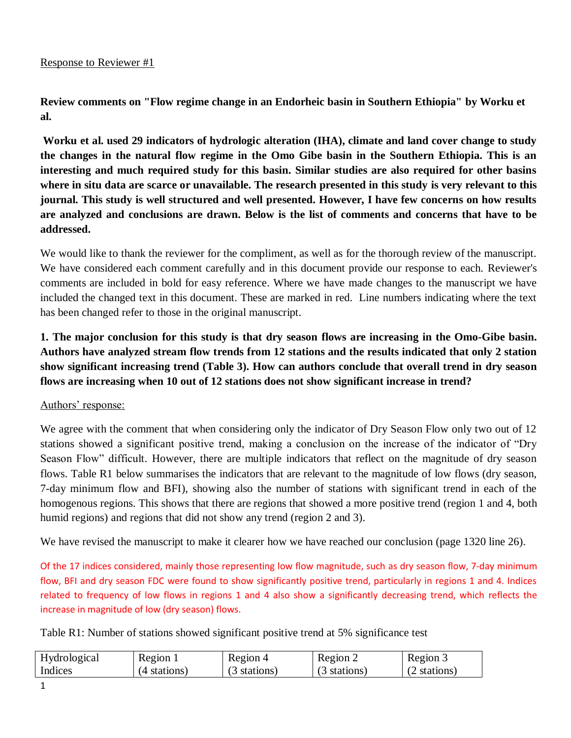**Review comments on "Flow regime change in an Endorheic basin in Southern Ethiopia" by Worku et al.** 

**Worku et al. used 29 indicators of hydrologic alteration (IHA), climate and land cover change to study the changes in the natural flow regime in the Omo Gibe basin in the Southern Ethiopia. This is an interesting and much required study for this basin. Similar studies are also required for other basins where in situ data are scarce or unavailable. The research presented in this study is very relevant to this journal. This study is well structured and well presented. However, I have few concerns on how results are analyzed and conclusions are drawn. Below is the list of comments and concerns that have to be addressed.** 

We would like to thank the reviewer for the compliment, as well as for the thorough review of the manuscript. We have considered each comment carefully and in this document provide our response to each. Reviewer's comments are included in bold for easy reference. Where we have made changes to the manuscript we have included the changed text in this document. These are marked in red. Line numbers indicating where the text has been changed refer to those in the original manuscript.

**1. The major conclusion for this study is that dry season flows are increasing in the Omo-Gibe basin. Authors have analyzed stream flow trends from 12 stations and the results indicated that only 2 station show significant increasing trend (Table 3). How can authors conclude that overall trend in dry season flows are increasing when 10 out of 12 stations does not show significant increase in trend?**

## Authors' response:

We agree with the comment that when considering only the indicator of Dry Season Flow only two out of 12 stations showed a significant positive trend, making a conclusion on the increase of the indicator of "Dry Season Flow" difficult. However, there are multiple indicators that reflect on the magnitude of dry season flows. Table R1 below summarises the indicators that are relevant to the magnitude of low flows (dry season, 7-day minimum flow and BFI), showing also the number of stations with significant trend in each of the homogenous regions. This shows that there are regions that showed a more positive trend (region 1 and 4, both humid regions) and regions that did not show any trend (region 2 and 3).

We have revised the manuscript to make it clearer how we have reached our conclusion (page 1320 line 26).

Of the 17 indices considered, mainly those representing low flow magnitude, such as dry season flow, 7-day minimum flow, BFI and dry season FDC were found to show significantly positive trend, particularly in regions 1 and 4. Indices related to frequency of low flows in regions 1 and 4 also show a significantly decreasing trend, which reflects the increase in magnitude of low (dry season) flows.

Table R1: Number of stations showed significant positive trend at 5% significance test

| Hydrological | Region 1     | Region 4     | Region 2     | Region 3     |
|--------------|--------------|--------------|--------------|--------------|
| Indices      | (4 stations) | (3 stations) | (3 stations) | (2 stations) |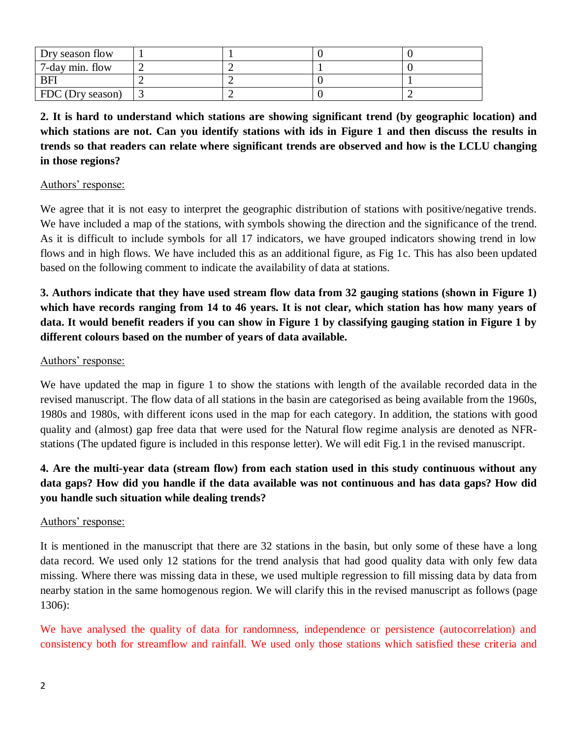| Dry season flow  |  |  |
|------------------|--|--|
| 7-day min. flow  |  |  |
| BFI              |  |  |
| FDC (Dry season) |  |  |

**2. It is hard to understand which stations are showing significant trend (by geographic location) and which stations are not. Can you identify stations with ids in Figure 1 and then discuss the results in trends so that readers can relate where significant trends are observed and how is the LCLU changing in those regions?**

## Authors' response:

We agree that it is not easy to interpret the geographic distribution of stations with positive/negative trends. We have included a map of the stations, with symbols showing the direction and the significance of the trend. As it is difficult to include symbols for all 17 indicators, we have grouped indicators showing trend in low flows and in high flows. We have included this as an additional figure, as Fig 1c. This has also been updated based on the following comment to indicate the availability of data at stations.

**3. Authors indicate that they have used stream flow data from 32 gauging stations (shown in Figure 1) which have records ranging from 14 to 46 years. It is not clear, which station has how many years of data. It would benefit readers if you can show in Figure 1 by classifying gauging station in Figure 1 by different colours based on the number of years of data available.**

### Authors' response:

We have updated the map in figure 1 to show the stations with length of the available recorded data in the revised manuscript. The flow data of all stations in the basin are categorised as being available from the 1960s, 1980s and 1980s, with different icons used in the map for each category. In addition, the stations with good quality and (almost) gap free data that were used for the Natural flow regime analysis are denoted as NFRstations (The updated figure is included in this response letter). We will edit Fig.1 in the revised manuscript.

# **4. Are the multi-year data (stream flow) from each station used in this study continuous without any data gaps? How did you handle if the data available was not continuous and has data gaps? How did you handle such situation while dealing trends?**

## Authors' response:

It is mentioned in the manuscript that there are 32 stations in the basin, but only some of these have a long data record. We used only 12 stations for the trend analysis that had good quality data with only few data missing. Where there was missing data in these, we used multiple regression to fill missing data by data from nearby station in the same homogenous region. We will clarify this in the revised manuscript as follows (page 1306):

We have analysed the quality of data for randomness, independence or persistence (autocorrelation) and consistency both for streamflow and rainfall. We used only those stations which satisfied these criteria and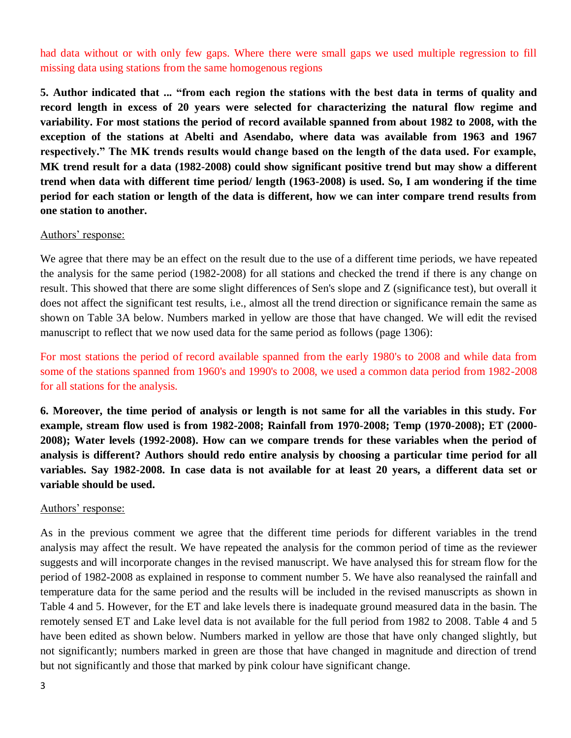had data without or with only few gaps. Where there were small gaps we used multiple regression to fill missing data using stations from the same homogenous regions

**5. Author indicated that ... "from each region the stations with the best data in terms of quality and record length in excess of 20 years were selected for characterizing the natural flow regime and variability. For most stations the period of record available spanned from about 1982 to 2008, with the exception of the stations at Abelti and Asendabo, where data was available from 1963 and 1967 respectively." The MK trends results would change based on the length of the data used. For example, MK trend result for a data (1982-2008) could show significant positive trend but may show a different trend when data with different time period/ length (1963-2008) is used. So, I am wondering if the time period for each station or length of the data is different, how we can inter compare trend results from one station to another.**

### Authors' response:

We agree that there may be an effect on the result due to the use of a different time periods, we have repeated the analysis for the same period (1982-2008) for all stations and checked the trend if there is any change on result. This showed that there are some slight differences of Sen's slope and Z (significance test), but overall it does not affect the significant test results, i.e., almost all the trend direction or significance remain the same as shown on Table 3A below. Numbers marked in yellow are those that have changed. We will edit the revised manuscript to reflect that we now used data for the same period as follows (page 1306):

For most stations the period of record available spanned from the early 1980's to 2008 and while data from some of the stations spanned from 1960's and 1990's to 2008, we used a common data period from 1982-2008 for all stations for the analysis.

**6. Moreover, the time period of analysis or length is not same for all the variables in this study. For example, stream flow used is from 1982-2008; Rainfall from 1970-2008; Temp (1970-2008); ET (2000- 2008); Water levels (1992-2008). How can we compare trends for these variables when the period of analysis is different? Authors should redo entire analysis by choosing a particular time period for all variables. Say 1982-2008. In case data is not available for at least 20 years, a different data set or variable should be used.**

#### Authors' response:

As in the previous comment we agree that the different time periods for different variables in the trend analysis may affect the result. We have repeated the analysis for the common period of time as the reviewer suggests and will incorporate changes in the revised manuscript. We have analysed this for stream flow for the period of 1982-2008 as explained in response to comment number 5. We have also reanalysed the rainfall and temperature data for the same period and the results will be included in the revised manuscripts as shown in Table 4 and 5. However, for the ET and lake levels there is inadequate ground measured data in the basin. The remotely sensed ET and Lake level data is not available for the full period from 1982 to 2008. Table 4 and 5 have been edited as shown below. Numbers marked in yellow are those that have only changed slightly, but not significantly; numbers marked in green are those that have changed in magnitude and direction of trend but not significantly and those that marked by pink colour have significant change.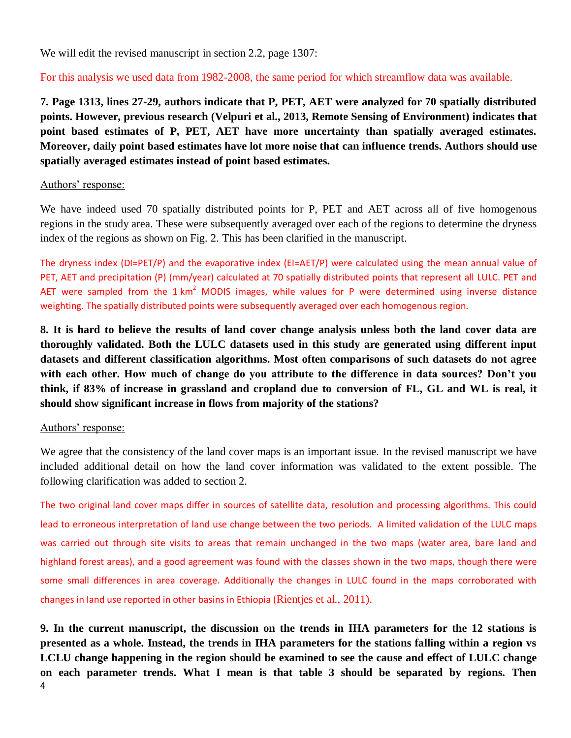We will edit the revised manuscript in section 2.2, page 1307:

For this analysis we used data from 1982-2008, the same period for which streamflow data was available.

**7. Page 1313, lines 27-29, authors indicate that P, PET, AET were analyzed for 70 spatially distributed points. However, previous research (Velpuri et al., 2013, Remote Sensing of Environment) indicates that point based estimates of P, PET, AET have more uncertainty than spatially averaged estimates. Moreover, daily point based estimates have lot more noise that can influence trends. Authors should use spatially averaged estimates instead of point based estimates.**

### Authors' response:

We have indeed used 70 spatially distributed points for P, PET and AET across all of five homogenous regions in the study area. These were subsequently averaged over each of the regions to determine the dryness index of the regions as shown on Fig. 2. This has been clarified in the manuscript.

The dryness index (DI=PET/P) and the evaporative index (EI=AET/P) were calculated using the mean annual value of PET, AET and precipitation (P) (mm/year) calculated at 70 spatially distributed points that represent all LULC. PET and AET were sampled from the 1 km<sup>2</sup> MODIS images, while values for P were determined using inverse distance weighting. The spatially distributed points were subsequently averaged over each homogenous region.

**8. It is hard to believe the results of land cover change analysis unless both the land cover data are thoroughly validated. Both the LULC datasets used in this study are generated using different input datasets and different classification algorithms. Most often comparisons of such datasets do not agree with each other. How much of change do you attribute to the difference in data sources? Don't you think, if 83% of increase in grassland and cropland due to conversion of FL, GL and WL is real, it should show significant increase in flows from majority of the stations?**

### Authors' response:

We agree that the consistency of the land cover maps is an important issue. In the revised manuscript we have included additional detail on how the land cover information was validated to the extent possible. The following clarification was added to section 2.

The two original land cover maps differ in sources of satellite data, resolution and processing algorithms. This could lead to erroneous interpretation of land use change between the two periods. A limited validation of the LULC maps was carried out through site visits to areas that remain unchanged in the two maps (water area, bare land and highland forest areas), and a good agreement was found with the classes shown in the two maps, though there were some small differences in area coverage. Additionally the changes in LULC found in the maps corroborated with changes in land use reported in other basins in Ethiopia (Rientjes et al., 2011).

4 **9. In the current manuscript, the discussion on the trends in IHA parameters for the 12 stations is presented as a whole. Instead, the trends in IHA parameters for the stations falling within a region vs LCLU change happening in the region should be examined to see the cause and effect of LULC change on each parameter trends. What I mean is that table 3 should be separated by regions. Then**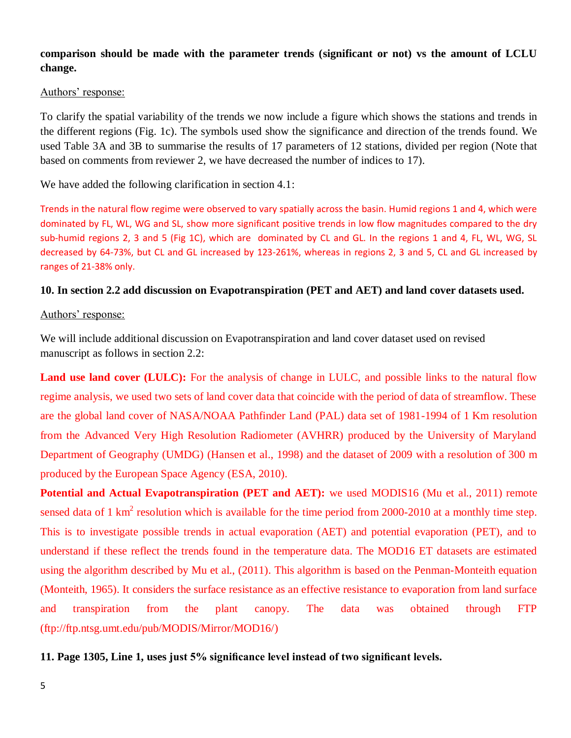## **comparison should be made with the parameter trends (significant or not) vs the amount of LCLU change.**

### Authors' response:

To clarify the spatial variability of the trends we now include a figure which shows the stations and trends in the different regions (Fig. 1c). The symbols used show the significance and direction of the trends found. We used Table 3A and 3B to summarise the results of 17 parameters of 12 stations, divided per region (Note that based on comments from reviewer 2, we have decreased the number of indices to 17).

We have added the following clarification in section 4.1:

Trends in the natural flow regime were observed to vary spatially across the basin. Humid regions 1 and 4, which were dominated by FL, WL, WG and SL, show more significant positive trends in low flow magnitudes compared to the dry sub-humid regions 2, 3 and 5 (Fig 1C), which are dominated by CL and GL. In the regions 1 and 4, FL, WL, WG, SL decreased by 64-73%, but CL and GL increased by 123-261%, whereas in regions 2, 3 and 5, CL and GL increased by ranges of 21-38% only.

## **10. In section 2.2 add discussion on Evapotranspiration (PET and AET) and land cover datasets used.**

### Authors' response:

We will include additional discussion on Evapotranspiration and land cover dataset used on revised manuscript as follows in section 2.2:

**Land use land cover (LULC):** For the analysis of change in LULC, and possible links to the natural flow regime analysis, we used two sets of land cover data that coincide with the period of data of streamflow. These are the global land cover of NASA/NOAA Pathfinder Land (PAL) data set of 1981-1994 of 1 Km resolution from the Advanced Very High Resolution Radiometer (AVHRR) produced by the University of Maryland Department of Geography (UMDG) (Hansen et al., 1998) and the dataset of 2009 with a resolution of 300 m produced by the European Space Agency (ESA, 2010).

**Potential and Actual Evapotranspiration (PET and AET):** we used MODIS16 (Mu et al., 2011) remote sensed data of 1 km<sup>2</sup> resolution which is available for the time period from 2000-2010 at a monthly time step. This is to investigate possible trends in actual evaporation (AET) and potential evaporation (PET), and to understand if these reflect the trends found in the temperature data. The MOD16 ET datasets are estimated using the algorithm described by Mu et al., (2011). This algorithm is based on the Penman-Monteith equation (Monteith, 1965). It considers the surface resistance as an effective resistance to evaporation from land surface and transpiration from the plant canopy. The data was obtained through FTP (ftp://ftp.ntsg.umt.edu/pub/MODIS/Mirror/MOD16/)

**11. Page 1305, Line 1, uses just 5% significance level instead of two significant levels.**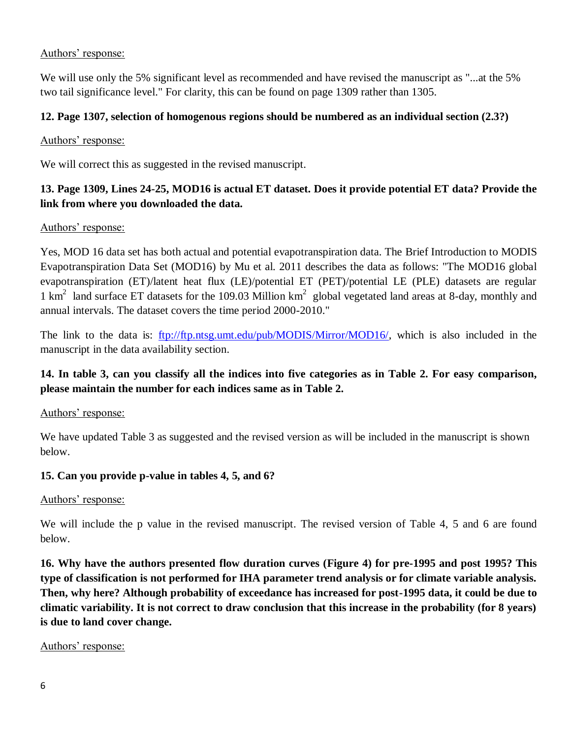## Authors' response:

We will use only the 5% significant level as recommended and have revised the manuscript as "...at the 5% two tail significance level." For clarity, this can be found on page 1309 rather than 1305.

## **12. Page 1307, selection of homogenous regions should be numbered as an individual section (2.3?)**

## Authors' response:

We will correct this as suggested in the revised manuscript.

# **13. Page 1309, Lines 24-25, MOD16 is actual ET dataset. Does it provide potential ET data? Provide the link from where you downloaded the data.**

## Authors' response:

Yes, MOD 16 data set has both actual and potential evapotranspiration data. The Brief Introduction to MODIS Evapotranspiration Data Set (MOD16) by Mu et al. 2011 describes the data as follows: "The MOD16 global evapotranspiration (ET)/latent heat flux (LE)/potential ET (PET)/potential LE (PLE) datasets are regular 1  $\text{km}^2$  land surface ET datasets for the 109.03 Million  $\text{km}^2$  global vegetated land areas at 8-day, monthly and annual intervals. The dataset covers the time period 2000-2010."

The link to the data is: [ftp://ftp.ntsg.umt.edu/pub/MODIS/Mirror/MOD16/,](ftp://ftp.ntsg.umt.edu/pub/MODIS/Mirror/MOD16/) which is also included in the manuscript in the data availability section.

# **14. In table 3, can you classify all the indices into five categories as in Table 2. For easy comparison, please maintain the number for each indices same as in Table 2.**

## Authors' response:

We have updated Table 3 as suggested and the revised version as will be included in the manuscript is shown below.

## **15. Can you provide p-value in tables 4, 5, and 6?**

## Authors' response:

We will include the p value in the revised manuscript. The revised version of Table 4, 5 and 6 are found below.

**16. Why have the authors presented flow duration curves (Figure 4) for pre-1995 and post 1995? This type of classification is not performed for IHA parameter trend analysis or for climate variable analysis. Then, why here? Although probability of exceedance has increased for post-1995 data, it could be due to climatic variability. It is not correct to draw conclusion that this increase in the probability (for 8 years) is due to land cover change.**

## Authors' response: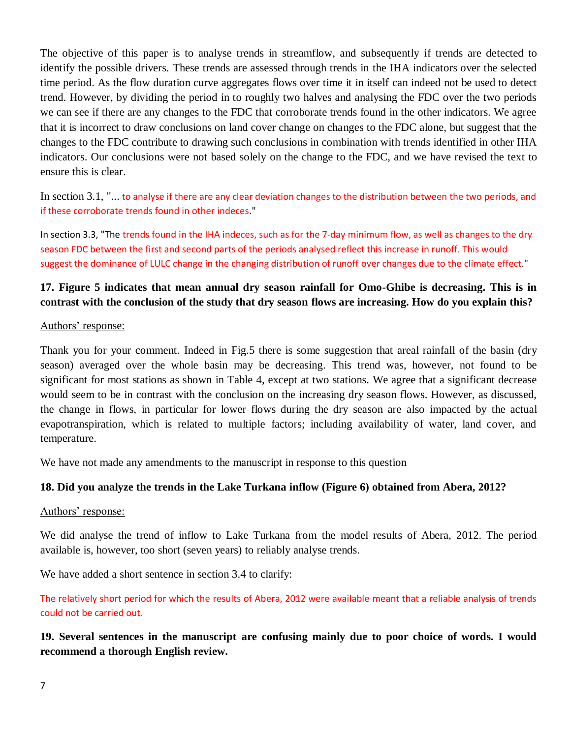The objective of this paper is to analyse trends in streamflow, and subsequently if trends are detected to identify the possible drivers. These trends are assessed through trends in the IHA indicators over the selected time period. As the flow duration curve aggregates flows over time it in itself can indeed not be used to detect trend. However, by dividing the period in to roughly two halves and analysing the FDC over the two periods we can see if there are any changes to the FDC that corroborate trends found in the other indicators. We agree that it is incorrect to draw conclusions on land cover change on changes to the FDC alone, but suggest that the changes to the FDC contribute to drawing such conclusions in combination with trends identified in other IHA indicators. Our conclusions were not based solely on the change to the FDC, and we have revised the text to ensure this is clear.

In section 3.1, "... to analyse if there are any clear deviation changes to the distribution between the two periods, and if these corroborate trends found in other indeces."

In section 3.3, "The trends found in the IHA indeces, such as for the 7-day minimum flow, as well as changes to the dry season FDC between the first and second parts of the periods analysed reflect this increase in runoff. This would suggest the dominance of LULC change in the changing distribution of runoff over changes due to the climate effect."

# **17. Figure 5 indicates that mean annual dry season rainfall for Omo-Ghibe is decreasing. This is in contrast with the conclusion of the study that dry season flows are increasing. How do you explain this?**

### Authors' response:

Thank you for your comment. Indeed in Fig.5 there is some suggestion that areal rainfall of the basin (dry season) averaged over the whole basin may be decreasing. This trend was, however, not found to be significant for most stations as shown in Table 4, except at two stations. We agree that a significant decrease would seem to be in contrast with the conclusion on the increasing dry season flows. However, as discussed, the change in flows, in particular for lower flows during the dry season are also impacted by the actual evapotranspiration, which is related to multiple factors; including availability of water, land cover, and temperature.

We have not made any amendments to the manuscript in response to this question

## **18. Did you analyze the trends in the Lake Turkana inflow (Figure 6) obtained from Abera, 2012?**

### Authors' response:

We did analyse the trend of inflow to Lake Turkana from the model results of Abera, 2012. The period available is, however, too short (seven years) to reliably analyse trends.

We have added a short sentence in section 3.4 to clarify:

The relatively short period for which the results of Abera, 2012 were available meant that a reliable analysis of trends could not be carried out.

# **19. Several sentences in the manuscript are confusing mainly due to poor choice of words. I would recommend a thorough English review.**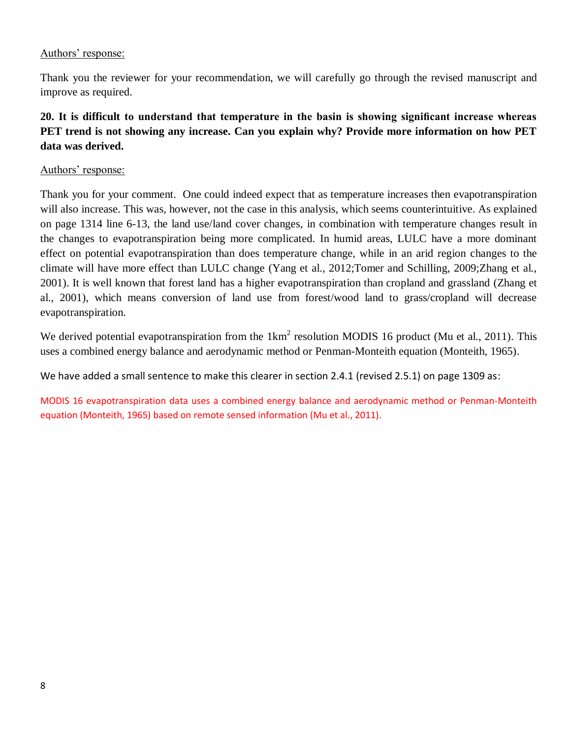### Authors' response:

Thank you the reviewer for your recommendation, we will carefully go through the revised manuscript and improve as required.

# **20. It is difficult to understand that temperature in the basin is showing significant increase whereas PET trend is not showing any increase. Can you explain why? Provide more information on how PET data was derived.**

### Authors' response:

Thank you for your comment. One could indeed expect that as temperature increases then evapotranspiration will also increase. This was, however, not the case in this analysis, which seems counterintuitive. As explained on page 1314 line 6-13, the land use/land cover changes, in combination with temperature changes result in the changes to evapotranspiration being more complicated. In humid areas, LULC have a more dominant effect on potential evapotranspiration than does temperature change, while in an arid region changes to the climate will have more effect than LULC change (Yang et al., 2012;Tomer and Schilling, 2009;Zhang et al., 2001). It is well known that forest land has a higher evapotranspiration than cropland and grassland (Zhang et al., 2001), which means conversion of land use from forest/wood land to grass/cropland will decrease evapotranspiration.

We derived potential evapotranspiration from the  $1 \text{km}^2$  resolution MODIS 16 product (Mu et al., 2011). This uses a combined energy balance and aerodynamic method or Penman-Monteith equation (Monteith, 1965).

We have added a small sentence to make this clearer in section 2.4.1 (revised 2.5.1) on page 1309 as:

MODIS 16 evapotranspiration data uses a combined energy balance and aerodynamic method or Penman-Monteith equation (Monteith, 1965) based on remote sensed information (Mu et al., 2011).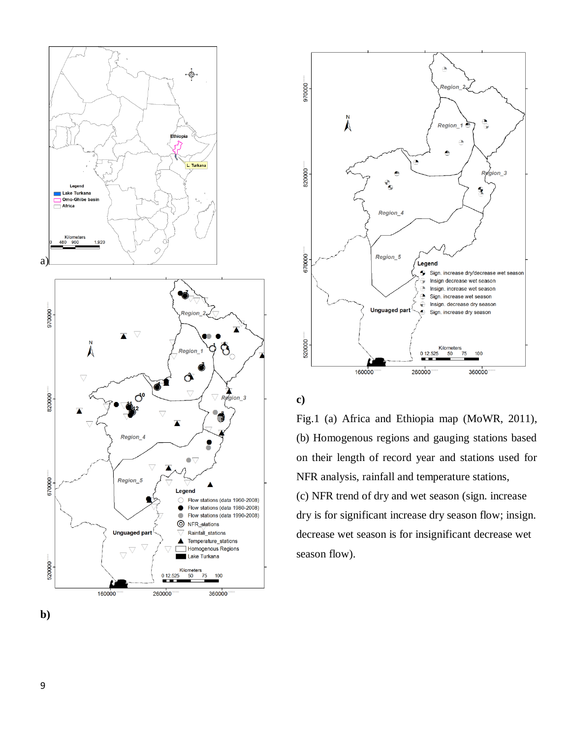



**c)**

Fig.1 (a) Africa and Ethiopia map (MoWR, 2011), (b) Homogenous regions and gauging stations based on their length of record year and stations used for NFR analysis, rainfall and temperature stations, (c) NFR trend of dry and wet season (sign. increase dry is for significant increase dry season flow; insign. decrease wet season is for insignificant decrease wet season flow).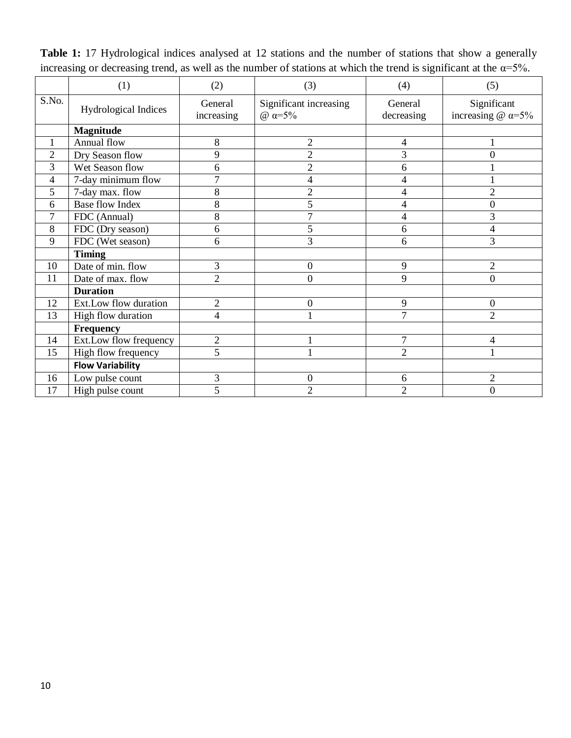|                | (1)                     | (2)                   | (3)                                | (4)                   | (5)                                             |
|----------------|-------------------------|-----------------------|------------------------------------|-----------------------|-------------------------------------------------|
| S.No.          | Hydrological Indices    | General<br>increasing | Significant increasing<br>$ω = 5%$ | General<br>decreasing | Significant<br>increasing $\omega \alpha = 5\%$ |
|                | <b>Magnitude</b>        |                       |                                    |                       |                                                 |
|                | Annual flow             | $8\,$                 | $\overline{c}$                     | 4                     |                                                 |
| $\overline{2}$ | Dry Season flow         | 9                     | $\overline{2}$                     | 3                     | $\Omega$                                        |
| 3              | Wet Season flow         | 6                     | $\overline{c}$                     | 6                     |                                                 |
| 4              | 7-day minimum flow      | $\overline{7}$        | 4                                  | 4                     |                                                 |
| 5              | 7-day max. flow         | 8                     | $\overline{2}$                     | 4                     | $\overline{2}$                                  |
| 6              | <b>Base flow Index</b>  | 8                     | 5                                  | 4                     | $\overline{0}$                                  |
| 7              | FDC (Annual)            | 8                     | $\overline{7}$                     | 4                     | 3                                               |
| 8              | FDC (Dry season)        | 6                     | 5                                  | 6                     | 4                                               |
| 9              | FDC (Wet season)        | 6                     | 3                                  | 6                     | 3                                               |
|                | <b>Timing</b>           |                       |                                    |                       |                                                 |
| 10             | Date of min. flow       | $\overline{3}$        | $\overline{0}$                     | 9                     | 2                                               |
| 11             | Date of max. flow       | $\overline{2}$        | $\boldsymbol{0}$                   | 9                     | 0                                               |
|                | <b>Duration</b>         |                       |                                    |                       |                                                 |
| 12             | Ext.Low flow duration   | $\overline{2}$        | $\boldsymbol{0}$                   | 9                     | $\overline{0}$                                  |
| 13             | High flow duration      | 4                     | 1                                  | $\overline{7}$        | $\overline{2}$                                  |
|                | <b>Frequency</b>        |                       |                                    |                       |                                                 |
| 14             | Ext.Low flow frequency  | $\mathbf{2}$          | 1                                  | $\overline{7}$        | 4                                               |
| 15             | High flow frequency     | 5                     | $\mathbf{1}$                       | $\overline{2}$        |                                                 |
|                | <b>Flow Variability</b> |                       |                                    |                       |                                                 |
| 16             | Low pulse count         | 3                     | $\mathbf{0}$                       | 6                     | $\overline{2}$                                  |
| 17             | High pulse count        | 5                     | $\overline{2}$                     | $\overline{2}$        | $\boldsymbol{0}$                                |

**Table 1:** 17 Hydrological indices analysed at 12 stations and the number of stations that show a generally increasing or decreasing trend, as well as the number of stations at which the trend is significant at the  $\alpha = 5\%$ .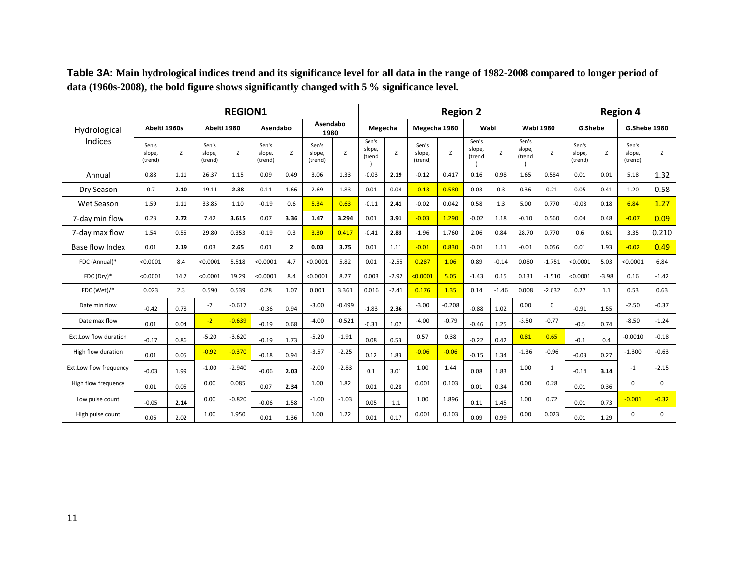|                        | <b>REGION1</b>             |      |                            |          |                            |              |                            |          | <b>Region 2</b>           |         |                            |          |                           |         |                           |              | <b>Region 4</b>            |         |                            |             |
|------------------------|----------------------------|------|----------------------------|----------|----------------------------|--------------|----------------------------|----------|---------------------------|---------|----------------------------|----------|---------------------------|---------|---------------------------|--------------|----------------------------|---------|----------------------------|-------------|
| Hydrological           | Abelti 1960s               |      | Abelti 1980                |          | Asendabo                   |              | Asendabo<br>1980           |          | Megecha                   |         | Megecha 1980               |          | Wabi                      |         | <b>Wabi 1980</b>          |              | G.Shebe                    |         | <b>G.Shebe 1980</b>        |             |
| Indices                | Sen's<br>slope,<br>(trend) | Z    | Sen's<br>slope,<br>(trend) | Z        | Sen's<br>slope,<br>(trend) | Z            | Sen's<br>slope,<br>(trend) | Z        | Sen's<br>slope,<br>(trend | Z       | Sen's<br>slope,<br>(trend) | Z        | Sen's<br>slope,<br>(trend | Z       | Sen's<br>slope,<br>(trend | z            | Sen's<br>slope,<br>(trend) | Z       | Sen's<br>slope,<br>(trend) | Z           |
| Annual                 | 0.88                       | 1.11 | 26.37                      | 1.15     | 0.09                       | 0.49         | 3.06                       | 1.33     | $-0.03$                   | 2.19    | $-0.12$                    | 0.417    | 0.16                      | 0.98    | 1.65                      | 0.584        | 0.01                       | 0.01    | 5.18                       | 1.32        |
| Dry Season             | 0.7                        | 2.10 | 19.11                      | 2.38     | 0.11                       | 1.66         | 2.69                       | 1.83     | 0.01                      | 0.04    | $-0.13$                    | 0.580    | 0.03                      | 0.3     | 0.36                      | 0.21         | 0.05                       | 0.41    | 1.20                       | 0.58        |
| Wet Season             | 1.59                       | 1.11 | 33.85                      | 1.10     | $-0.19$                    | 0.6          | 5.34                       | 0.63     | $-0.11$                   | 2.41    | $-0.02$                    | 0.042    | 0.58                      | 1.3     | 5.00                      | 0.770        | $-0.08$                    | 0.18    | 6.84                       | 1.27        |
| 7-day min flow         | 0.23                       | 2.72 | 7.42                       | 3.615    | 0.07                       | 3.36         | 1.47                       | 3.294    | 0.01                      | 3.91    | $-0.03$                    | 1.290    | $-0.02$                   | 1.18    | $-0.10$                   | 0.560        | 0.04                       | 0.48    | $-0.07$                    | 0.09        |
| 7-day max flow         | 1.54                       | 0.55 | 29.80                      | 0.353    | $-0.19$                    | 0.3          | 3.30                       | 0.417    | $-0.41$                   | 2.83    | $-1.96$                    | 1.760    | 2.06                      | 0.84    | 28.70                     | 0.770        | 0.6                        | 0.61    | 3.35                       | 0.210       |
| Base flow Index        | 0.01                       | 2.19 | 0.03                       | 2.65     | 0.01                       | $\mathbf{2}$ | 0.03                       | 3.75     | 0.01                      | 1.11    | $-0.01$                    | 0.830    | $-0.01$                   | 1.11    | $-0.01$                   | 0.056        | 0.01                       | 1.93    | $-0.02$                    | 0.49        |
| FDC (Annual)*          | < 0.0001                   | 8.4  | < 0.0001                   | 5.518    | < 0.0001                   | 4.7          | < 0.0001                   | 5.82     | 0.01                      | $-2.55$ | 0.287                      | 1.06     | 0.89                      | $-0.14$ | 0.080                     | $-1.751$     | < 0.0001                   | 5.03    | < 0.0001                   | 6.84        |
| FDC (Dry)*             | < 0.0001                   | 14.7 | < 0.0001                   | 19.29    | < 0.0001                   | 8.4          | < 0.0001                   | 8.27     | 0.003                     | $-2.97$ | < 0.0001                   | 5.05     | $-1.43$                   | 0.15    | 0.131                     | $-1.510$     | < 0.0001                   | $-3.98$ | 0.16                       | $-1.42$     |
| FDC (Wet)/*            | 0.023                      | 2.3  | 0.590                      | 0.539    | 0.28                       | 1.07         | 0.001                      | 3.361    | 0.016                     | $-2.41$ | 0.176                      | 1.35     | 0.14                      | $-1.46$ | 0.008                     | $-2.632$     | 0.27                       | 1.1     | 0.53                       | 0.63        |
| Date min flow          | $-0.42$                    | 0.78 | $-7$                       | $-0.617$ | $-0.36$                    | 0.94         | $-3.00$                    | $-0.499$ | $-1.83$                   | 2.36    | $-3.00$                    | $-0.208$ | $-0.88$                   | 1.02    | 0.00                      | $\Omega$     | $-0.91$                    | 1.55    | $-2.50$                    | $-0.37$     |
| Date max flow          | 0.01                       | 0.04 | $-2$                       | $-0.639$ | $-0.19$                    | 0.68         | $-4.00$                    | $-0.521$ | $-0.31$                   | 1.07    | $-4.00$                    | $-0.79$  | $-0.46$                   | 1.25    | $-3.50$                   | $-0.77$      | $-0.5$                     | 0.74    | $-8.50$                    | $-1.24$     |
| Ext.Low flow duration  | $-0.17$                    | 0.86 | $-5.20$                    | $-3.620$ | $-0.19$                    | 1.73         | $-5.20$                    | $-1.91$  | 0.08                      | 0.53    | 0.57                       | 0.38     | $-0.22$                   | 0.42    | 0.81                      | 0.65         | $-0.1$                     | 0.4     | $-0.0010$                  | $-0.18$     |
| High flow duration     | 0.01                       | 0.05 | $-0.92$                    | $-0.370$ | $-0.18$                    | 0.94         | $-3.57$                    | $-2.25$  | 0.12                      | 1.83    | $-0.06$                    | $-0.06$  | $-0.15$                   | 1.34    | $-1.36$                   | $-0.96$      | $-0.03$                    | 0.27    | $-1.300$                   | $-0.63$     |
| Ext.Low flow frequency | $-0.03$                    | 1.99 | $-1.00$                    | $-2.940$ | $-0.06$                    | 2.03         | $-2.00$                    | $-2.83$  | 0.1                       | 3.01    | 1.00                       | 1.44     | 0.08                      | 1.83    | 1.00                      | $\mathbf{1}$ | $-0.14$                    | 3.14    | $-1$                       | $-2.15$     |
| High flow frequency    | 0.01                       | 0.05 | 0.00                       | 0.085    | 0.07                       | 2.34         | 1.00                       | 1.82     | 0.01                      | 0.28    | 0.001                      | 0.103    | 0.01                      | 0.34    | 0.00                      | 0.28         | 0.01                       | 0.36    | $\Omega$                   | $\mathbf 0$ |
| Low pulse count        | $-0.05$                    | 2.14 | 0.00                       | $-0.820$ | $-0.06$                    | 1.58         | $-1.00$                    | $-1.03$  | 0.05                      | 1.1     | 1.00                       | 1.896    | 0.11                      | 1.45    | 1.00                      | 0.72         | 0.01                       | 0.73    | $-0.001$                   | $-0.32$     |
| High pulse count       | 0.06                       | 2.02 | 1.00                       | 1.950    | 0.01                       | 1.36         | 1.00                       | 1.22     | 0.01                      | 0.17    | 0.001                      | 0.103    | 0.09                      | 0.99    | 0.00                      | 0.023        | 0.01                       | 1.29    | $\Omega$                   | $\Omega$    |

**Table 3A: Main hydrological indices trend and its significance level for all data in the range of 1982-2008 compared to longer period of data (1960s-2008), the bold figure shows significantly changed with 5 % significance level.**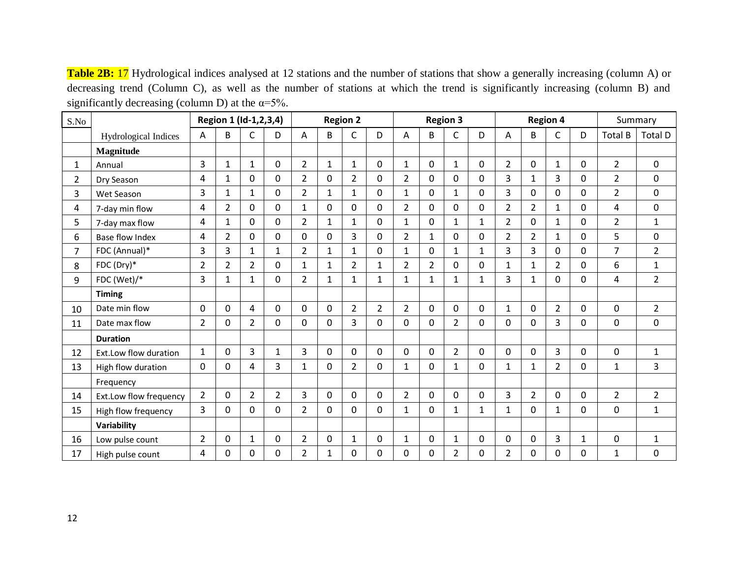Table 2B: 17 Hydrological indices analysed at 12 stations and the number of stations that show a generally increasing (column A) or decreasing trend (Column C), as well as the number of stations at which the trend is significantly increasing (column B) and significantly decreasing (column D) at the  $\alpha = 5\%$ .

| S.No           |                        |                |                | Region 1 (Id-1,2,3,4) |                |                |                | <b>Region 2</b> |                |                |                | <b>Region 3</b> |              |                |                | <b>Region 4</b> |              | Summary        |                |
|----------------|------------------------|----------------|----------------|-----------------------|----------------|----------------|----------------|-----------------|----------------|----------------|----------------|-----------------|--------------|----------------|----------------|-----------------|--------------|----------------|----------------|
|                | Hydrological Indices   | A              | B              | C                     | D              | Α              | B              | C               | D              | Α              | B              | C               | D            | Α              | B              | C               | D            | <b>Total B</b> | <b>Total D</b> |
|                | <b>Magnitude</b>       |                |                |                       |                |                |                |                 |                |                |                |                 |              |                |                |                 |              |                |                |
| 1              | Annual                 | $\overline{3}$ | $\mathbf{1}$   | $\mathbf{1}$          | $\mathbf{0}$   | $\overline{2}$ | 1              | $\mathbf{1}$    | $\Omega$       | $\mathbf{1}$   | $\Omega$       | $\mathbf{1}$    | 0            | $\overline{2}$ | $\Omega$       | $\mathbf{1}$    | $\Omega$     | $\overline{2}$ | $\Omega$       |
| 2              | Dry Season             | 4              | $\mathbf{1}$   | 0                     | $\mathbf{0}$   | $\overline{2}$ | $\mathbf 0$    | $\overline{2}$  | $\Omega$       | $\overline{2}$ | 0              | $\Omega$        | 0            | 3              | $\mathbf{1}$   | 3               | $\mathbf 0$  | $\overline{2}$ | $\Omega$       |
| 3              | Wet Season             | 3              | $\mathbf{1}$   | $\mathbf{1}$          | $\mathbf 0$    | $\overline{2}$ | $\mathbf{1}$   | $\mathbf{1}$    | 0              | $\mathbf{1}$   | $\mathbf 0$    | $\mathbf{1}$    | 0            | 3              | $\mathbf 0$    | $\mathbf 0$     | $\Omega$     | $\overline{2}$ | $\mathbf 0$    |
| 4              | 7-day min flow         | 4              | $\overline{2}$ | $\mathbf 0$           | $\mathbf 0$    | $\mathbf{1}$   | $\mathbf 0$    | $\Omega$        | 0              | $\overline{2}$ | 0              | 0               | 0            | $\overline{2}$ | $\overline{2}$ | $\mathbf{1}$    | $\Omega$     | 4              | 0              |
| 5              | 7-day max flow         | 4              | $\mathbf{1}$   | $\Omega$              | $\mathbf 0$    | $\overline{2}$ | $\mathbf{1}$   | 1               | 0              | $\mathbf{1}$   | 0              | $\mathbf{1}$    | $\mathbf{1}$ | $\overline{2}$ | 0              | $\mathbf{1}$    | $\Omega$     | $\overline{2}$ | $\mathbf{1}$   |
| 6              | <b>Base flow Index</b> | 4              | $\overline{2}$ | $\Omega$              | $\mathbf 0$    | 0              | $\mathbf{0}$   | 3               | 0              | $\overline{2}$ | $\mathbf{1}$   | $\mathbf 0$     | 0            | $\overline{2}$ | 2              | $\mathbf{1}$    | $\Omega$     | 5              | 0              |
| $\overline{7}$ | FDC (Annual)*          | 3              | 3              | $\mathbf{1}$          | $\mathbf{1}$   | $\overline{2}$ | $\mathbf{1}$   | $\mathbf{1}$    | $\Omega$       | $\mathbf{1}$   | 0              | $\mathbf{1}$    | $\mathbf{1}$ | 3              | 3              | 0               | $\Omega$     | $\overline{7}$ | $\overline{2}$ |
| 8              | FDC (Dry)*             | $\overline{2}$ | $\overline{2}$ | $\overline{2}$        | $\mathbf{0}$   | 1              | $\mathbf{1}$   | $\overline{2}$  | $\mathbf{1}$   | $\overline{2}$ | $\overline{2}$ | $\Omega$        | 0            | $\mathbf{1}$   | $\mathbf{1}$   | $\overline{2}$  | $\Omega$     | 6              | $\mathbf{1}$   |
| 9              | FDC (Wet)/*            | 3              | $\mathbf{1}$   | $\mathbf{1}$          | $\mathbf 0$    | $\overline{2}$ | $\mathbf{1}$   | $\mathbf{1}$    | $\mathbf{1}$   | $\mathbf{1}$   | 1              | $\mathbf{1}$    | $\mathbf{1}$ | 3              | $\mathbf{1}$   | 0               | $\mathbf 0$  | 4              | $\overline{2}$ |
|                | <b>Timing</b>          |                |                |                       |                |                |                |                 |                |                |                |                 |              |                |                |                 |              |                |                |
| 10             | Date min flow          | 0              | 0              | 4                     | 0              | $\Omega$       | $\mathbf 0$    | $\overline{2}$  | $\overline{2}$ | $\overline{2}$ | 0              | 0               | $\mathbf{0}$ | $\mathbf{1}$   | $\Omega$       | $\overline{2}$  | $\mathbf 0$  | $\mathbf 0$    | $\overline{2}$ |
| 11             | Date max flow          | $\overline{2}$ | 0              | $\overline{2}$        | 0              | $\Omega$       | $\mathbf 0$    | 3               | 0              | 0              | 0              | $\overline{2}$  | 0            | $\mathbf 0$    | 0              | 3               | $\mathbf 0$  | $\mathbf{0}$   | 0              |
|                | <b>Duration</b>        |                |                |                       |                |                |                |                 |                |                |                |                 |              |                |                |                 |              |                |                |
| 12             | Ext.Low flow duration  | $\mathbf{1}$   | 0              | $\overline{3}$        | $\mathbf{1}$   | 3              | $\Omega$       | $\Omega$        | 0              | $\Omega$       | $\Omega$       | $\overline{2}$  | 0            | $\Omega$       | $\Omega$       | 3               | $\Omega$     | $\mathbf{0}$   | $\mathbf{1}$   |
| 13             | High flow duration     | 0              | 0              | 4                     | $\overline{3}$ | $\mathbf{1}$   | $\Omega$       | $\overline{2}$  | 0              | $\mathbf{1}$   | $\Omega$       | $\mathbf{1}$    | 0            | $\mathbf{1}$   | $\mathbf{1}$   | $\overline{2}$  | $\Omega$     | $\mathbf{1}$   | 3              |
|                | Frequency              |                |                |                       |                |                |                |                 |                |                |                |                 |              |                |                |                 |              |                |                |
| 14             | Ext.Low flow frequency | $\overline{2}$ | 0              | $\overline{2}$        | $\overline{2}$ | 3              | $\mathbf 0$    | 0               | 0              | $\overline{2}$ | 0              | 0               | $\mathbf{0}$ | 3              | $\overline{2}$ | $\mathbf 0$     | $\mathbf 0$  | $\overline{2}$ | $\overline{2}$ |
| 15             | High flow frequency    | $\overline{3}$ | 0              | 0                     | $\overline{0}$ | $\overline{2}$ | $\overline{0}$ | 0               | 0              | $\mathbf{1}$   | 0              | $\mathbf{1}$    | $\mathbf{1}$ | 1              | 0              | 1               | $\mathbf 0$  | $\overline{0}$ | $\mathbf{1}$   |
|                | Variability            |                |                |                       |                |                |                |                 |                |                |                |                 |              |                |                |                 |              |                |                |
| 16             | Low pulse count        | $\overline{2}$ | 0              | $\mathbf{1}$          | 0              | $\overline{2}$ | 0              | $\mathbf 1$     | 0              | $\mathbf{1}$   | 0              | $\mathbf{1}$    | 0            | 0              | 0              | 3               | $\mathbf{1}$ | 0              | $\mathbf{1}$   |
| 17             | High pulse count       | 4              | 0              | 0                     | 0              | 2              | 1              | $\Omega$        | 0              | 0              | $\Omega$       | $\overline{2}$  | 0            | $\overline{2}$ | 0              | 0               | $\Omega$     | $\mathbf 1$    | 0              |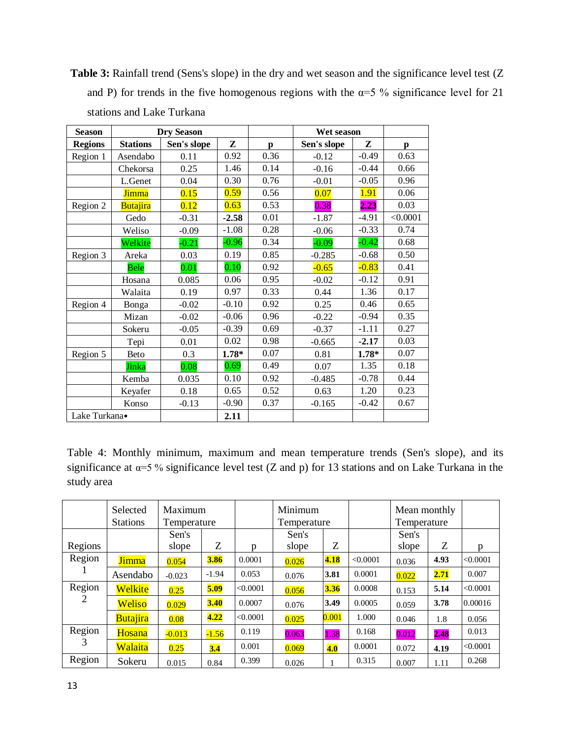Table 3: Rainfall trend (Sens's slope) in the dry and wet season and the significance level test (Z and P) for trends in the five homogenous regions with the  $\alpha=5$  % significance level for 21 stations and Lake Turkana

| <b>Season</b>  |                 | <b>Dry Season</b> |         |      | Wet season  |         |          |
|----------------|-----------------|-------------------|---------|------|-------------|---------|----------|
| <b>Regions</b> | <b>Stations</b> | Sen's slope       | Z       | p    | Sen's slope | Z       | p        |
| Region 1       | Asendabo        | 0.11              | 0.92    | 0.36 | $-0.12$     | $-0.49$ | 0.63     |
|                | Chekorsa        | 0.25              | 1.46    | 0.14 | $-0.16$     | $-0.44$ | 0.66     |
|                | L.Genet         | 0.04              | 0.30    | 0.76 | $-0.01$     | $-0.05$ | 0.96     |
|                | <b>Jimma</b>    | 0.15              | 0.59    | 0.56 | 0.07        | 1.91    | 0.06     |
| Region 2       | <b>Butajira</b> | 0.12              | 0.63    | 0.53 | 0.38        | 2.23    | 0.03     |
|                | Gedo            | $-0.31$           | $-2.58$ | 0.01 | $-1.87$     | $-4.91$ | < 0.0001 |
|                | Weliso          | $-0.09$           | $-1.08$ | 0.28 | $-0.06$     | $-0.33$ | 0.74     |
|                | Welkite         | $-0.21$           | $-0.96$ | 0.34 | $-0.09$     | $-0.42$ | 0.68     |
| Region 3       | Areka           | 0.03              | 0.19    | 0.85 | $-0.285$    | $-0.68$ | 0.50     |
|                | Bele            | 0.01              | 0.10    | 0.92 | $-0.65$     | $-0.83$ | 0.41     |
|                | Hosana          | 0.085             | 0.06    | 0.95 | $-0.02$     | $-0.12$ | 0.91     |
|                | Walaita         | 0.19              | 0.97    | 0.33 | 0.44        | 1.36    | 0.17     |
| Region 4       | Bonga           | $-0.02$           | $-0.10$ | 0.92 | 0.25        | 0.46    | 0.65     |
|                | Mizan           | $-0.02$           | $-0.06$ | 0.96 | $-0.22$     | $-0.94$ | 0.35     |
|                | Sokeru          | $-0.05$           | $-0.39$ | 0.69 | $-0.37$     | $-1.11$ | 0.27     |
|                | Tepi            | 0.01              | 0.02    | 0.98 | $-0.665$    | $-2.17$ | 0.03     |
| Region 5       | <b>Beto</b>     | 0.3               | $1.78*$ | 0.07 | 0.81        | $1.78*$ | 0.07     |
|                | Jinka           | 0.08              | 0.69    | 0.49 | 0.07        | 1.35    | 0.18     |
|                | Kemba           | 0.035             | 0.10    | 0.92 | $-0.485$    | $-0.78$ | 0.44     |
|                | Keyafer         | 0.18              | 0.65    | 0.52 | 0.63        | 1.20    | 0.23     |
|                | Konso           | $-0.13$           | $-0.90$ | 0.37 | $-0.165$    | $-0.42$ | 0.67     |
| Lake Turkana•  |                 |                   | 2.11    |      |             |         |          |

Table 4: Monthly minimum, maximum and mean temperature trends (Sen's slope), and its significance at  $\alpha = 5$  % significance level test (Z and p) for 13 stations and on Lake Turkana in the study area

|         | Selected<br><b>Stations</b> | Maximum<br>Temperature |         |          | Minimum<br>Temperature |       |          | Mean monthly<br>Temperature |      |          |
|---------|-----------------------------|------------------------|---------|----------|------------------------|-------|----------|-----------------------------|------|----------|
|         |                             | Sen's                  |         |          | Sen's                  |       |          | Sen's                       |      |          |
| Regions |                             | slope                  | Z       | p        | slope                  | Z     |          | slope                       | Z    | p        |
| Region  | <b>Jimma</b>                | 0.054                  | 3.86    | 0.0001   | 0.026                  | 4.18  | < 0.0001 | 0.036                       | 4.93 | < 0.0001 |
|         | Asendabo                    | $-0.023$               | $-1.94$ | 0.053    | 0.076                  | 3.81  | 0.0001   | 0.022                       | 2.71 | 0.007    |
| Region  | Welkite                     | 0.25                   | 5.09    | < 0.0001 | 0.056                  | 3.36  | 0.0008   | 0.153                       | 5.14 | < 0.0001 |
| 2       | Weliso                      | 0.029                  | 3.40    | 0.0007   | 0.076                  | 3.49  | 0.0005   | 0.059                       | 3.78 | 0.00016  |
|         | Butajira                    | 0.08                   | 4.22    | < 0.0001 | 0.025                  | 0.001 | 1.000    | 0.046                       | 1.8  | 0.056    |
| Region  | <b>Hosana</b>               | $-0.013$               | $-1.56$ | 0.119    | 0.063                  | 1.38  | 0.168    | 0.012                       | 2.48 | 0.013    |
| 3       | Walaita                     | 0.25                   | 3.4     | 0.001    | 0.069                  | 4.0   | 0.0001   | 0.072                       | 4.19 | < 0.0001 |
| Region  | Sokeru                      | 0.015                  | 0.84    | 0.399    | 0.026                  |       | 0.315    | 0.007                       | 1.11 | 0.268    |